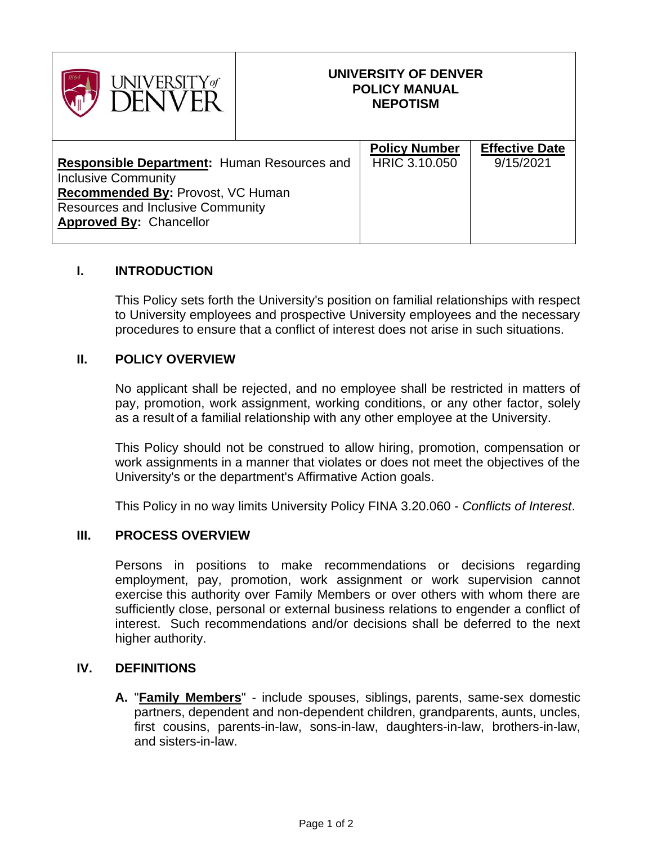| <b>JNIVERSITY</b> of                                                                                                                                                                                |  | UNIVERSITY OF DENVER<br><b>POLICY MANUAL</b><br><b>NEPOTISM</b> |                                    |
|-----------------------------------------------------------------------------------------------------------------------------------------------------------------------------------------------------|--|-----------------------------------------------------------------|------------------------------------|
| <b>Responsible Department: Human Resources and</b><br><b>Inclusive Community</b><br>Recommended By: Provost, VC Human<br><b>Resources and Inclusive Community</b><br><b>Approved By: Chancellor</b> |  | <b>Policy Number</b><br>HRIC 3.10.050                           | <b>Effective Date</b><br>9/15/2021 |

## **I. INTRODUCTION**

This Policy sets forth the University's position on familial relationships with respect to University employees and prospective University employees and the necessary procedures to ensure that a conflict of interest does not arise in such situations.

## **II. POLICY OVERVIEW**

No applicant shall be rejected, and no employee shall be restricted in matters of pay, promotion, work assignment, working conditions, or any other factor, solely as a result of a familial relationship with any other employee at the University.

This Policy should not be construed to allow hiring, promotion, compensation or work assignments in a manner that violates or does not meet the objectives of the University's or the department's Affirmative Action goals.

This Policy in no way limits University Policy FINA 3.20.060 - *Conflicts of Interest*.

## **III. PROCESS OVERVIEW**

Persons in positions to make recommendations or decisions regarding employment, pay, promotion, work assignment or work supervision cannot exercise this authority over Family Members or over others with whom there are sufficiently close, personal or external business relations to engender a conflict of interest. Such recommendations and/or decisions shall be deferred to the next higher authority.

## **IV. DEFINITIONS**

**A.** "**Family Members**" - include spouses, siblings, parents, same-sex domestic partners, dependent and non-dependent children, grandparents, aunts, uncles, first cousins, parents-in-law, sons-in-law, daughters-in-law, brothers-in-law, and sisters-in-law.